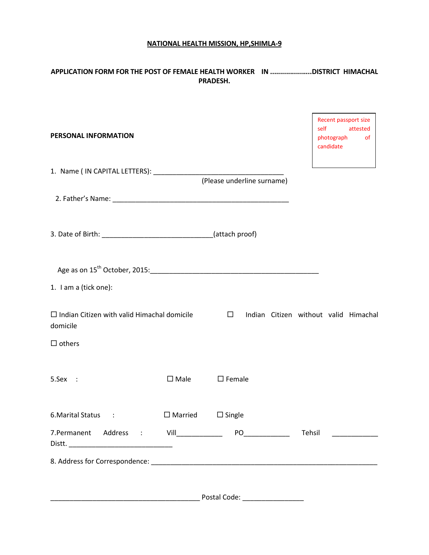## **NATIONAL HEALTH MISSION, HP,SHIMLA-9**

# **APPLICATION FORM FOR THE POST OF FEMALE HEALTH WORKER IN .....................DISTRICT HIMACHAL PRADESH.**

| PERSONAL INFORMATION                                           |                |                                   | Recent passport size<br>self<br>photograph<br>candidate | attested<br><sub>of</sub> |
|----------------------------------------------------------------|----------------|-----------------------------------|---------------------------------------------------------|---------------------------|
|                                                                |                | (Please underline surname)        |                                                         |                           |
|                                                                |                |                                   |                                                         |                           |
|                                                                |                |                                   |                                                         |                           |
|                                                                |                |                                   |                                                         |                           |
| 1. I am a (tick one):                                          |                |                                   |                                                         |                           |
| $\Box$ Indian Citizen with valid Himachal domicile<br>domicile |                | $\Box$                            | Indian Citizen without valid Himachal                   |                           |
| $\Box$ others                                                  |                |                                   |                                                         |                           |
| 5.Sex :                                                        | $\square$ Male | $\square$ Female                  |                                                         |                           |
| 6. Marital Status<br>$\sim$ 1                                  | $\Box$ Married | $\Box$ Single                     |                                                         |                           |
|                                                                |                |                                   | Tehsil                                                  |                           |
|                                                                |                |                                   |                                                         |                           |
|                                                                |                | Postal Code: ____________________ |                                                         |                           |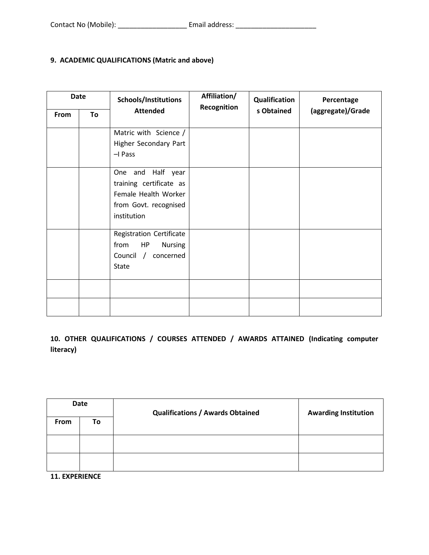# **9. ACADEMIC QUALIFICATIONS (Matric and above)**

| Date        |    | Schools/Institutions                                                                                         | Affiliation/<br>Recognition | Qualification | Percentage        |  |
|-------------|----|--------------------------------------------------------------------------------------------------------------|-----------------------------|---------------|-------------------|--|
| <b>From</b> | To | <b>Attended</b>                                                                                              |                             | s Obtained    | (aggregate)/Grade |  |
|             |    | Matric with Science /<br>Higher Secondary Part<br>-I Pass                                                    |                             |               |                   |  |
|             |    | One and Half year<br>training certificate as<br>Female Health Worker<br>from Govt. recognised<br>institution |                             |               |                   |  |
|             |    | Registration Certificate<br>from<br><b>Nursing</b><br>HP<br>Council /<br>concerned<br><b>State</b>           |                             |               |                   |  |
|             |    |                                                                                                              |                             |               |                   |  |

**10. OTHER QUALIFICATIONS / COURSES ATTENDED / AWARDS ATTAINED (Indicating computer literacy)** 

| <b>Date</b> |    | <b>Qualifications / Awards Obtained</b> | <b>Awarding Institution</b> |  |
|-------------|----|-----------------------------------------|-----------------------------|--|
| From        | To |                                         |                             |  |
|             |    |                                         |                             |  |
|             |    |                                         |                             |  |

**11. EXPERIENCE**